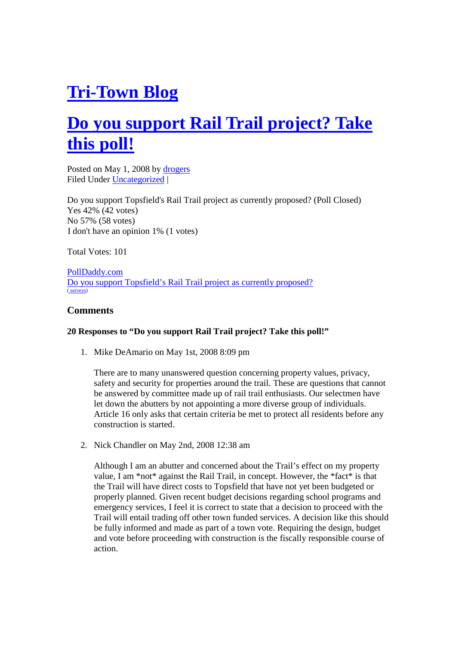# **Tri-Town Blog**

## **Do you support Rail Trail project? Take this poll!**

Posted on May 1, 2008 by drogers Filed Under Uncategorized |

Do you support Topsfield's Rail Trail project as currently proposed? (Poll Closed) Yes 42% (42 votes) No 57% (58 votes) I don't have an opinion 1% (1 votes)

Total Votes: 101

PollDaddy.com Do you support Topsfield's Rail Trail project as currently proposed? ( surveys)

### **Comments**

#### **20 Responses to "Do you support Rail Trail project? Take this poll!"**

1. Mike DeAmario on May 1st, 2008 8:09 pm

There are to many unanswered question concerning property values, privacy, safety and security for properties around the trail. These are questions that cannot be answered by committee made up of rail trail enthusiasts. Our selectmen have let down the abutters by not appointing a more diverse group of individuals. Article 16 only asks that certain criteria be met to protect all residents before any construction is started.

2. Nick Chandler on May 2nd, 2008 12:38 am

Although I am an abutter and concerned about the Trail's effect on my property value, I am \*not\* against the Rail Trail, in concept. However, the \*fact\* is that the Trail will have direct costs to Topsfield that have not yet been budgeted or properly planned. Given recent budget decisions regarding school programs and emergency services, I feel it is correct to state that a decision to proceed with the Trail will entail trading off other town funded services. A decision like this should be fully informed and made as part of a town vote. Requiring the design, budget and vote before proceeding with construction is the fiscally responsible course of action.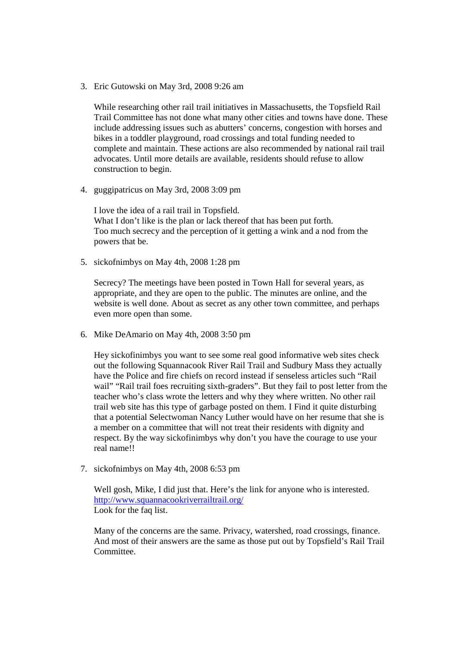3. Eric Gutowski on May 3rd, 2008 9:26 am

While researching other rail trail initiatives in Massachusetts, the Topsfield Rail Trail Committee has not done what many other cities and towns have done. These include addressing issues such as abutters' concerns, congestion with horses and bikes in a toddler playground, road crossings and total funding needed to complete and maintain. These actions are also recommended by national rail trail advocates. Until more details are available, residents should refuse to allow construction to begin.

4. guggipatricus on May 3rd, 2008 3:09 pm

I love the idea of a rail trail in Topsfield. What I don't like is the plan or lack thereof that has been put forth. Too much secrecy and the perception of it getting a wink and a nod from the powers that be.

5. sickofnimbys on May 4th, 2008 1:28 pm

Secrecy? The meetings have been posted in Town Hall for several years, as appropriate, and they are open to the public. The minutes are online, and the website is well done. About as secret as any other town committee, and perhaps even more open than some.

6. Mike DeAmario on May 4th, 2008 3:50 pm

Hey sickofinimbys you want to see some real good informative web sites check out the following Squannacook River Rail Trail and Sudbury Mass they actually have the Police and fire chiefs on record instead if senseless articles such "Rail wail" "Rail trail foes recruiting sixth-graders". But they fail to post letter from the teacher who's class wrote the letters and why they where written. No other rail trail web site has this type of garbage posted on them. I Find it quite disturbing that a potential Selectwoman Nancy Luther would have on her resume that she is a member on a committee that will not treat their residents with dignity and respect. By the way sickofinimbys why don't you have the courage to use your real name!!

7. sickofnimbys on May 4th, 2008 6:53 pm

Well gosh, Mike, I did just that. Here's the link for anyone who is interested. http://www.squannacookriverrailtrail.org/ Look for the faq list.

Many of the concerns are the same. Privacy, watershed, road crossings, finance. And most of their answers are the same as those put out by Topsfield's Rail Trail Committee.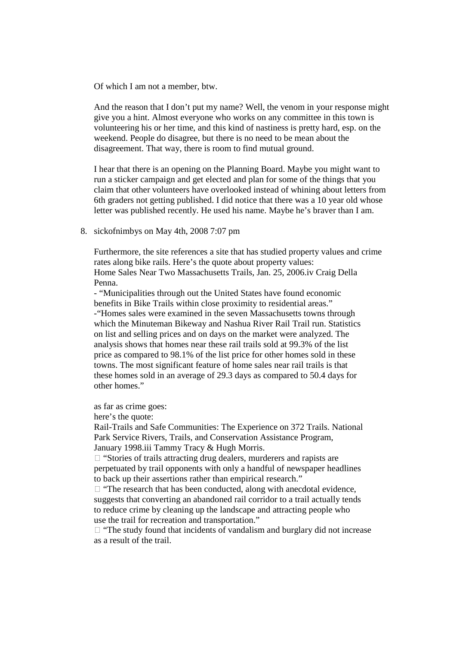Of which I am not a member, btw.

And the reason that I don't put my name? Well, the venom in your response might give you a hint. Almost everyone who works on any committee in this town is volunteering his or her time, and this kind of nastiness is pretty hard, esp. on the weekend. People do disagree, but there is no need to be mean about the disagreement. That way, there is room to find mutual ground.

I hear that there is an opening on the Planning Board. Maybe you might want to run a sticker campaign and get elected and plan for some of the things that you claim that other volunteers have overlooked instead of whining about letters from 6th graders not getting published. I did notice that there was a 10 year old whose letter was published recently. He used his name. Maybe he's braver than I am.

#### 8. sickofnimbys on May 4th, 2008 7:07 pm

Furthermore, the site references a site that has studied property values and crime rates along bike rails. Here's the quote about property values: Home Sales Near Two Massachusetts Trails, Jan. 25, 2006.iv Craig Della Penna.

- "Municipalities through out the United States have found economic benefits in Bike Trails within close proximity to residential areas." -"Homes sales were examined in the seven Massachusetts towns through which the Minuteman Bikeway and Nashua River Rail Trail run. Statistics on list and selling prices and on days on the market were analyzed. The analysis shows that homes near these rail trails sold at 99.3% of the list price as compared to 98.1% of the list price for other homes sold in these towns. The most significant feature of home sales near rail trails is that these homes sold in an average of 29.3 days as compared to 50.4 days for other homes."

as far as crime goes:

here's the quote:

Rail-Trails and Safe Communities: The Experience on 372 Trails. National Park Service Rivers, Trails, and Conservation Assistance Program, January 1998.iii Tammy Tracy & Hugh Morris.

 $\Box$  "Stories of trails attracting drug dealers, murderers and rapists are perpetuated by trail opponents with only a handful of newspaper headlines to back up their assertions rather than empirical research."

 $\Box$  "The research that has been conducted, along with anecdotal evidence, suggests that converting an abandoned rail corridor to a trail actually tends to reduce crime by cleaning up the landscape and attracting people who use the trail for recreation and transportation."

 $\Box$  "The study found that incidents of vandalism and burglary did not increase as a result of the trail.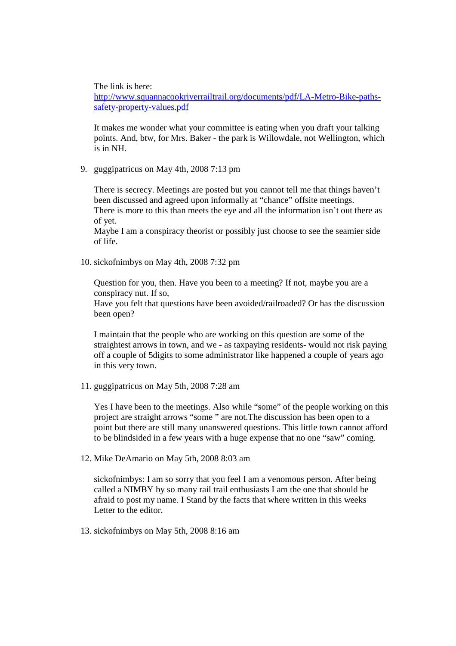The link is here:

http://www.squannacookriverrailtrail.org/documents/pdf/LA-Metro-Bike-pathssafety-property-values.pdf

It makes me wonder what your committee is eating when you draft your talking points. And, btw, for Mrs. Baker - the park is Willowdale, not Wellington, which is in NH.

9. guggipatricus on May 4th, 2008 7:13 pm

There is secrecy. Meetings are posted but you cannot tell me that things haven't been discussed and agreed upon informally at "chance" offsite meetings. There is more to this than meets the eye and all the information isn't out there as of yet.

Maybe I am a conspiracy theorist or possibly just choose to see the seamier side of life.

10. sickofnimbys on May 4th, 2008 7:32 pm

Question for you, then. Have you been to a meeting? If not, maybe you are a conspiracy nut. If so,

Have you felt that questions have been avoided/railroaded? Or has the discussion been open?

I maintain that the people who are working on this question are some of the straightest arrows in town, and we - as taxpaying residents- would not risk paying off a couple of 5digits to some administrator like happened a couple of years ago in this very town.

11. guggipatricus on May 5th, 2008 7:28 am

Yes I have been to the meetings. Also while "some" of the people working on this project are straight arrows "some " are not.The discussion has been open to a point but there are still many unanswered questions. This little town cannot afford to be blindsided in a few years with a huge expense that no one "saw" coming.

12. Mike DeAmario on May 5th, 2008 8:03 am

sickofnimbys: I am so sorry that you feel I am a venomous person. After being called a NIMBY by so many rail trail enthusiasts I am the one that should be afraid to post my name. I Stand by the facts that where written in this weeks Letter to the editor.

13. sickofnimbys on May 5th, 2008 8:16 am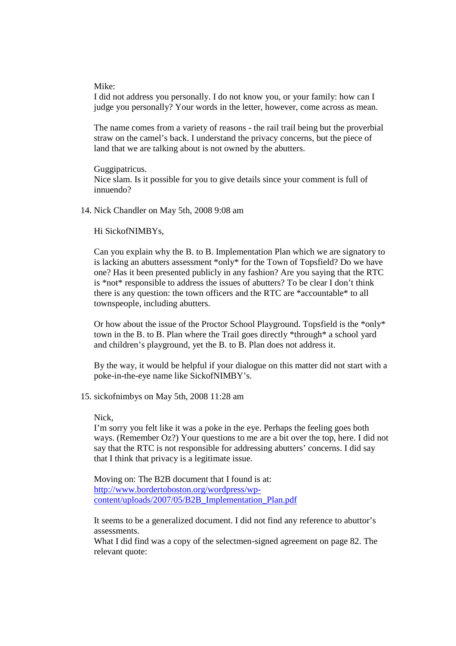Mike:

I did not address you personally. I do not know you, or your family: how can I judge you personally? Your words in the letter, however, come across as mean.

The name comes from a variety of reasons - the rail trail being but the proverbial straw on the camel's back. I understand the privacy concerns, but the piece of land that we are talking about is not owned by the abutters.

Guggipatricus. Nice slam. Is it possible for you to give details since your comment is full of innuendo?

14. Nick Chandler on May 5th, 2008 9:08 am

Hi SickofNIMBYs,

Can you explain why the B. to B. Implementation Plan which we are signatory to is lacking an abutters assessment \*only\* for the Town of Topsfield? Do we have one? Has it been presented publicly in any fashion? Are you saying that the RTC is \*not\* responsible to address the issues of abutters? To be clear I don't think there is any question: the town officers and the RTC are \*accountable\* to all townspeople, including abutters.

Or how about the issue of the Proctor School Playground. Topsfield is the \*only\* town in the B. to B. Plan where the Trail goes directly \*through\* a school yard and children's playground, yet the B. to B. Plan does not address it.

By the way, it would be helpful if your dialogue on this matter did not start with a poke-in-the-eye name like SickofNIMBY's.

15. sickofnimbys on May 5th, 2008 11:28 am

Nick,

I'm sorry you felt like it was a poke in the eye. Perhaps the feeling goes both ways. (Remember Oz?) Your questions to me are a bit over the top, here. I did not say that the RTC is not responsible for addressing abutters' concerns. I did say that I think that privacy is a legitimate issue.

Moving on: The B2B document that I found is at: http://www.bordertoboston.org/wordpress/wpcontent/uploads/2007/05/B2B\_Implementation\_Plan.pdf

It seems to be a generalized document. I did not find any reference to abuttor's assessments.

What I did find was a copy of the selectmen-signed agreement on page 82. The relevant quote: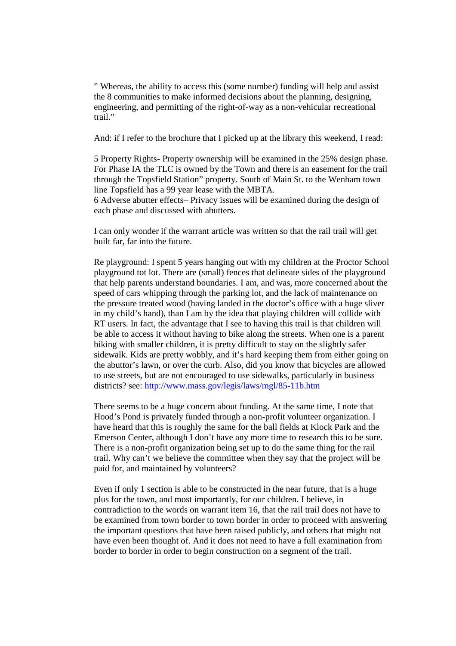" Whereas, the ability to access this (some number) funding will help and assist the 8 communities to make informed decisions about the planning, designing, engineering, and permitting of the right-of-way as a non-vehicular recreational trail."

And: if I refer to the brochure that I picked up at the library this weekend, I read:

5 Property Rights- Property ownership will be examined in the 25% design phase. For Phase IA the TLC is owned by the Town and there is an easement for the trail through the Topsfield Station" property. South of Main St. to the Wenham town line Topsfield has a 99 year lease with the MBTA.

6 Adverse abutter effects– Privacy issues will be examined during the design of each phase and discussed with abutters.

I can only wonder if the warrant article was written so that the rail trail will get built far, far into the future.

Re playground: I spent 5 years hanging out with my children at the Proctor School playground tot lot. There are (small) fences that delineate sides of the playground that help parents understand boundaries. I am, and was, more concerned about the speed of cars whipping through the parking lot, and the lack of maintenance on the pressure treated wood (having landed in the doctor's office with a huge sliver in my child's hand), than I am by the idea that playing children will collide with RT users. In fact, the advantage that I see to having this trail is that children will be able to access it without having to bike along the streets. When one is a parent biking with smaller children, it is pretty difficult to stay on the slightly safer sidewalk. Kids are pretty wobbly, and it's hard keeping them from either going on the abuttor's lawn, or over the curb. Also, did you know that bicycles are allowed to use streets, but are not encouraged to use sidewalks, particularly in business districts? see: http://www.mass.gov/legis/laws/mgl/85-11b.htm

There seems to be a huge concern about funding. At the same time, I note that Hood's Pond is privately funded through a non-profit volunteer organization. I have heard that this is roughly the same for the ball fields at Klock Park and the Emerson Center, although I don't have any more time to research this to be sure. There is a non-profit organization being set up to do the same thing for the rail trail. Why can't we believe the committee when they say that the project will be paid for, and maintained by volunteers?

Even if only 1 section is able to be constructed in the near future, that is a huge plus for the town, and most importantly, for our children. I believe, in contradiction to the words on warrant item 16, that the rail trail does not have to be examined from town border to town border in order to proceed with answering the important questions that have been raised publicly, and others that might not have even been thought of. And it does not need to have a full examination from border to border in order to begin construction on a segment of the trail.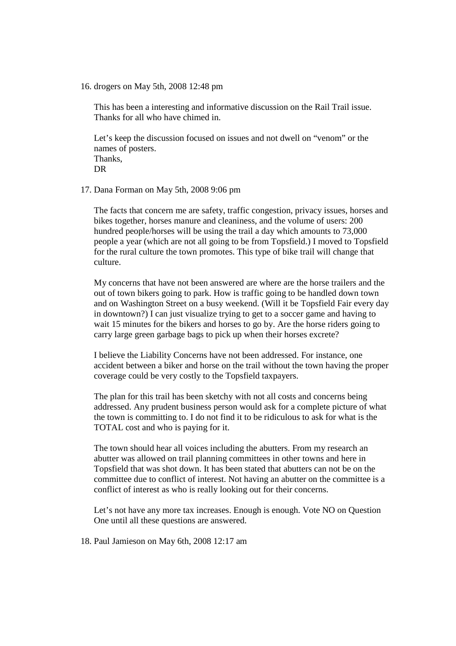16. drogers on May 5th, 2008 12:48 pm

This has been a interesting and informative discussion on the Rail Trail issue. Thanks for all who have chimed in.

Let's keep the discussion focused on issues and not dwell on "venom" or the names of posters. Thanks, DR

17. Dana Forman on May 5th, 2008 9:06 pm

The facts that concern me are safety, traffic congestion, privacy issues, horses and bikes together, horses manure and cleaniness, and the volume of users: 200 hundred people/horses will be using the trail a day which amounts to 73,000 people a year (which are not all going to be from Topsfield.) I moved to Topsfield for the rural culture the town promotes. This type of bike trail will change that culture.

My concerns that have not been answered are where are the horse trailers and the out of town bikers going to park. How is traffic going to be handled down town and on Washington Street on a busy weekend. (Will it be Topsfield Fair every day in downtown?) I can just visualize trying to get to a soccer game and having to wait 15 minutes for the bikers and horses to go by. Are the horse riders going to carry large green garbage bags to pick up when their horses excrete?

I believe the Liability Concerns have not been addressed. For instance, one accident between a biker and horse on the trail without the town having the proper coverage could be very costly to the Topsfield taxpayers.

The plan for this trail has been sketchy with not all costs and concerns being addressed. Any prudent business person would ask for a complete picture of what the town is committing to. I do not find it to be ridiculous to ask for what is the TOTAL cost and who is paying for it.

The town should hear all voices including the abutters. From my research an abutter was allowed on trail planning committees in other towns and here in Topsfield that was shot down. It has been stated that abutters can not be on the committee due to conflict of interest. Not having an abutter on the committee is a conflict of interest as who is really looking out for their concerns.

Let's not have any more tax increases. Enough is enough. Vote NO on Question One until all these questions are answered.

18. Paul Jamieson on May 6th, 2008 12:17 am